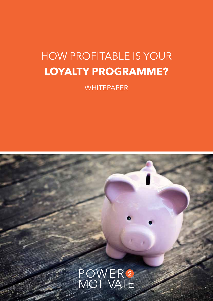# HOW PROFITABLE IS YOUR **LOYALTY PROGRAMME?**

**WHITEPAPER** 

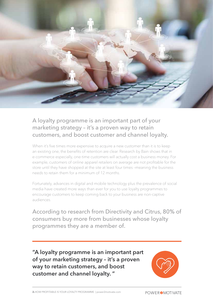

A loyalty programme is an important part of your marketing strategy – it's a proven way to retain customers, and boost customer and channel loyalty.

When it's five times more expensive to acquire a new customer than it is to keep an existing one, the benefits of retention are clear. Research by Bain shows that in e-commerce especially, one-time customers will actually cost a business money. For example, customers of online apparel retailers on average are not profitable for the store until they have shopped at the site at least four times –meaning the business needs to retain them for a minimum of 12 months.

Fortunately, advances in digital and mobile technology plus the prevalence of social media have created more ways than ever for you to use loyalty programmes to encourage customers to keep coming back to your business are non-captive audiences.

According to research from Directivity and Citrus, 80% of consumers buy more from businesses whose loyalty programmes they are a member of.

**"A loyalty programme is an important part of your marketing strategy – it's a proven way to retain customers, and boost customer and channel loyalty. "**

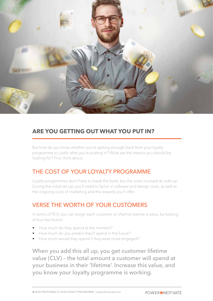

## **ARE YOU GETTING OUT WHAT YOU PUT IN?**

But how do you know whether you're getting enough back from your loyalty programme to justify what you're putting in? What are the metrics you should be looking for? First, think about:

#### THE COST OF YOUR LOYALTY PROGRAMME

Loyalty programmes don't have to break the bank, but the costs involved do add up. During the initial set-up, you'll need to factor in software and design costs, as well as the ongoing costs of marketing and the rewards you'll offer.

#### VERSE THE WORTH OF YOUR CUSTOMERS

In terms of ROI, you can assign each customer or channel partner a value, by looking at four key factors:

- How much do they spend at the moment?
- How much do you predict they'll spend in the future?
- How much would they spend if they were more engaged?

When you add this all up, you get customer lifetime value (CLV) – the total amount a customer will spend at your business in their 'lifetime'. Increase this value, and you know your loyalty programme is working.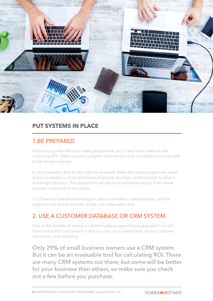

#### **PUT SYSTEMS IN PLACE**

#### 1.BE PREPARED

Before you go live with your loyalty programme, you'll need to be ready to start measuring ROI. Make sure your program information is fully integrated and accessible to the whole company.

It's also important that all your staff are on board. Make the loyalty programme a part of your workplace culture, and create employee structures and incentives to drive it in the right direction. The programme will get more and better results if the whole business is focused on its success.

You'll need to have the technology in place to be able to track progress, and the systems to be able to translate results into measurable data.

## 2. USE A CUSTOMER DATABASE OR CRM SYSTEM

One of the benefits of having an online loyalty programme (as opposed to an oldfashioned punch card system) is that you can use it to keep track of your customers' information and spending.

Only 29% of small business owners use a CRM system. But it can be an invaluable tool for calculating ROI. There are many CRM systems out there, but some will be better for your business than others, so make sure you check out a few before you purchase.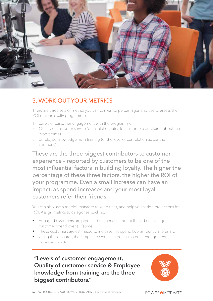

## 3. WORK OUT YOUR METRICS

There are three sets of metrics you can convert to percentages and use to assess the ROI of your loyalty programme:

- 1. Levels of customer engagement with the programme
- 2. Quality of customer service (or resolution rates for customer complaints about the programme)
- 3. Employee knowledge from training (or the level of completion across the company)

These are the three biggest contributors to customer experience – reported by customers to be one of the most influential factors in building loyalty. The higher the percentage of these three factors, the higher the ROI of your programme. Even a small increase can have an impact, as spend increases and your most loyal customers refer their friends.

You can also use a metrics manager to keep track, and help you assign projections for ROI. Assign metrics to categories, such as:

- Engaged customers are predicted to spend x amount (based on average customer spend over a lifetime).
- These customers are estimated to increase this spend by x amount via referrals.
- Using these figures, the jump in revenue can be estimated if engagement increases by x%.

**"Levels of customer engagement, Quality of customer service & Employee knowledge from training are the three biggest contributors."**

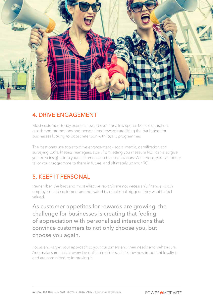

#### 4. DRIVE ENGAGEMENT

Most customers today expect a reward even for a low spend. Market saturation, crossbrand promotions and personalised rewards are lifting the bar higher for businesses looking to boost retention with loyalty programmes.

The best ones use tools to drive engagement – social media, gamification and surveying tools. Metrics managers, apart from letting you measure ROI, can also give you extra insights into your customers and their behaviours. With those, you can better tailor your programme to them in future, and ultimately up your ROI.

#### 5. KEEP IT PERSONAL

Remember, the best and most effective rewards are not necessarily financial; both employees and customers are motivated by emotional triggers. They want to feel valued.

As customer appetites for rewards are growing, the challenge for businesses is creating that feeling of appreciation with personalised interactions that convince customers to not only choose you, but choose you again.

Focus and target your approach to your customers and their needs and behaviours. And make sure that, at every level of the business, staff know how important loyalty is, and are committed to improving it.